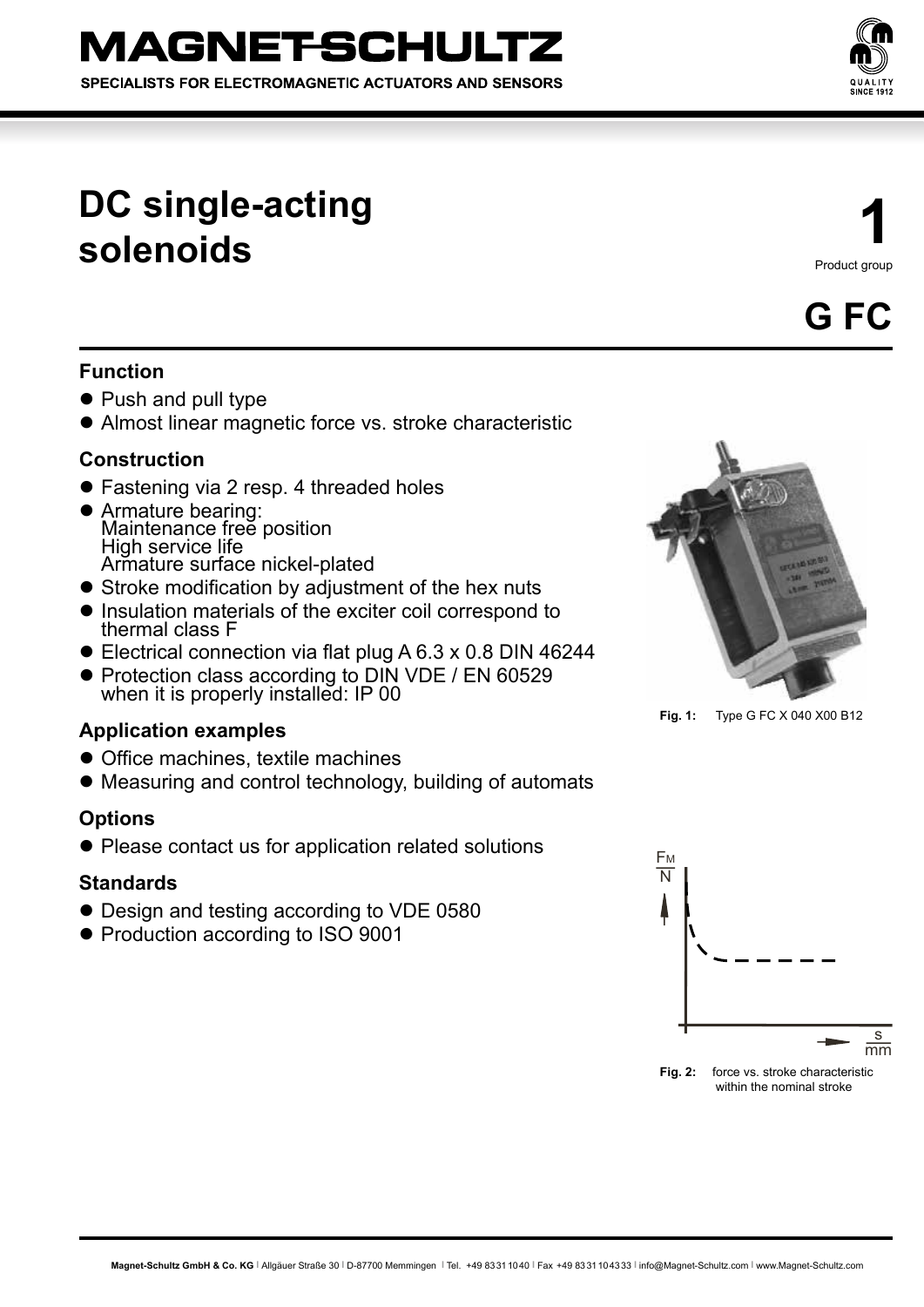SPECIALISTS FOR ELECTROMAGNETIC ACTUATORS AND SENSORS



# **DC single-acting solenoids**

**1** Product group



# **Function**

- Push and pull type
- Almost linear magnetic force vs. stroke characteristic

## **Construction**

- Fastening via 2 resp. 4 threaded holes
- **Armature bearing:** Maintenance free position High service life Armature surface nickel-plated
- Stroke modification by adjustment of the hex nuts
- Insulation materials of the exciter coil correspond to thermal class F
- $\bullet$  Electrical connection via flat plug A 6.3 x 0.8 DIN 46244
- Protection class according to DIN VDE / EN 60529 when it is properly installed: IP 00

## **Application examples**

- Office machines, textile machines
- Measuring and control technology, building of automats

## **Options**

• Please contact us for application related solutions

## **Standards**

- Design and testing according to VDE 0580
- **Production according to ISO 9001**



**Fig. 1:** Type G FC X 040 X00 B12



**Fig. 2:** force vs. stroke characteristic within the nominal stroke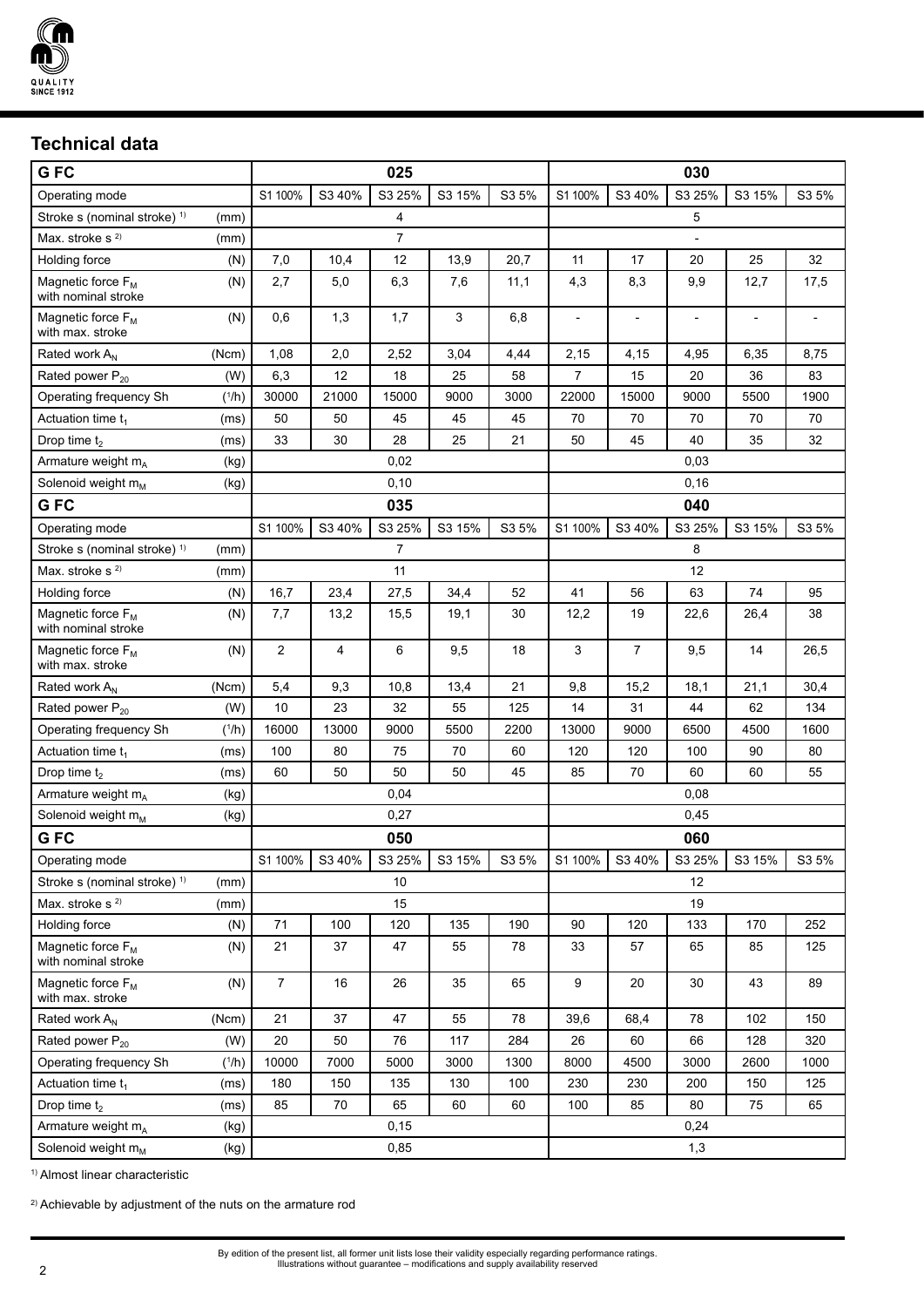

# **Technical data**

| GFC                                                  |            | 025             |        |        | 030                      |       |                |                |                          |        |       |
|------------------------------------------------------|------------|-----------------|--------|--------|--------------------------|-------|----------------|----------------|--------------------------|--------|-------|
| Operating mode                                       |            | S1 100%         | S3 40% | S3 25% | S3 15%                   | S3 5% | S1 100%        | S3 40%         | S3 25%                   | S3 15% | S3 5% |
| Stroke s (nominal stroke) <sup>1)</sup>              | (mm)       | 4               |        |        | 5                        |       |                |                |                          |        |       |
| Max. stroke $s^{2}$                                  | (mm)       | $\overline{7}$  |        |        | $\overline{\phantom{a}}$ |       |                |                |                          |        |       |
| Holding force                                        | (N)        | 7,0             | 10,4   | 12     | 13,9                     | 20,7  | 11             | 17             | 20                       | 25     | 32    |
| Magnetic force F <sub>M</sub><br>with nominal stroke | (N)        | 2,7             | 5,0    | 6,3    | 7,6                      | 11,1  | 4,3            | 8,3            | 9,9                      | 12,7   | 17,5  |
| Magnetic force $F_M$<br>with max. stroke             | (N)        | 0,6             | 1,3    | 1,7    | 3                        | 6,8   | $\overline{a}$ |                | $\overline{\phantom{a}}$ |        |       |
| Rated work A <sub>N</sub>                            | (Ncm)      | 1,08            | 2,0    | 2,52   | 3,04                     | 4,44  | 2,15           | 4,15           | 4,95                     | 6,35   | 8,75  |
| Rated power P <sub>20</sub>                          | (W)        | 6,3             | 12     | 18     | 25                       | 58    | 7              | 15             | 20                       | 36     | 83    |
| Operating frequency Sh                               | $(^{1}/h)$ | 30000           | 21000  | 15000  | 9000                     | 3000  | 22000          | 15000          | 9000                     | 5500   | 1900  |
| Actuation time $t_1$                                 | (ms)       | 50              | 50     | 45     | 45                       | 45    | 70             | 70             | 70                       | 70     | 70    |
| Drop time $t_2$                                      | (ms)       | 33              | 30     | 28     | 25                       | 21    | 50             | 45             | 40                       | 35     | 32    |
| Armature weight m <sub>A</sub>                       | (kg)       | 0,02            |        |        | 0,03                     |       |                |                |                          |        |       |
| Solenoid weight $m_M$                                | (kg)       | 0,10            |        |        |                          | 0, 16 |                |                |                          |        |       |
| G FC                                                 |            | 035             |        |        | 040                      |       |                |                |                          |        |       |
| Operating mode                                       |            | S1 100%         | S3 40% | S3 25% | S3 15%                   | S3 5% | S1 100%        | S3 40%         | S3 25%                   | S3 15% | S3 5% |
| Stroke s (nominal stroke) <sup>1)</sup>              | (mm)       | 7               |        |        | 8                        |       |                |                |                          |        |       |
| Max. stroke $s^{2}$                                  | (mm)       | 11              |        |        | 12                       |       |                |                |                          |        |       |
| Holding force                                        | (N)        | 16,7            | 23,4   | 27,5   | 34,4                     | 52    | 41             | 56             | 63                       | 74     | 95    |
| Magnetic force F <sub>M</sub><br>with nominal stroke | (N)        | 7,7             | 13,2   | 15,5   | 19,1                     | 30    | 12,2           | 19             | 22,6                     | 26,4   | 38    |
| Magnetic force $F_M$<br>with max, stroke             | (N)        | $\overline{2}$  | 4      | 6      | 9,5                      | 18    | 3              | $\overline{7}$ | 9,5                      | 14     | 26,5  |
| Rated work A <sub>N</sub>                            | (Ncm)      | 5,4             | 9,3    | 10,8   | 13,4                     | 21    | 9,8            | 15,2           | 18,1                     | 21,1   | 30,4  |
| Rated power P <sub>20</sub>                          | (W)        | 10              | 23     | 32     | 55                       | 125   | 14             | 31             | 44                       | 62     | 134   |
| Operating frequency Sh                               | $(^{1}/h)$ | 16000           | 13000  | 9000   | 5500                     | 2200  | 13000          | 9000           | 6500                     | 4500   | 1600  |
| Actuation time t <sub>1</sub>                        | (ms)       | 100             | 80     | 75     | 70                       | 60    | 120            | 120            | 100                      | 90     | 80    |
| Drop time $t_2$                                      | (ms)       | 60              | 50     | 50     | 50                       | 45    | 85             | 70             | 60                       | 60     | 55    |
| Armature weight $m_A$                                | (kg)       | 0,04            |        |        | 0,08                     |       |                |                |                          |        |       |
| Solenoid weight m <sub>M</sub>                       | (kg)       | 0,27            |        |        |                          | 0,45  |                |                |                          |        |       |
| G FC                                                 |            | 050             |        |        | 060                      |       |                |                |                          |        |       |
| Operating mode                                       |            | S1 100%         | S3 40% | S3 25% | S3 15%                   | S3 5% | S1 100%        | S3 40%         | S3 25%                   | S3 15% | S3 5% |
| Stroke s (nominal stroke) <sup>1)</sup>              | (mm)       | 10 <sup>°</sup> |        |        | 12                       |       |                |                |                          |        |       |
| Max. stroke s <sup>2)</sup>                          | (mm)       | 15              |        |        |                          | 19    |                |                |                          |        |       |
| Holding force                                        | (N)        | 71              | 100    | 120    | 135                      | 190   | 90             | 120            | 133                      | 170    | 252   |
| Magnetic force F <sub>M</sub><br>with nominal stroke | (N)        | 21              | 37     | 47     | 55                       | 78    | 33             | 57             | 65                       | 85     | 125   |
| Magnetic force F <sub>M</sub><br>with max. stroke    | (N)        | $\overline{7}$  | 16     | 26     | 35                       | 65    | 9              | 20             | 30                       | 43     | 89    |
| Rated work A <sub>N</sub>                            | (Ncm)      | 21              | 37     | 47     | 55                       | 78    | 39,6           | 68,4           | 78                       | 102    | 150   |
| Rated power P <sub>20</sub>                          | (W)        | 20              | 50     | 76     | 117                      | 284   | 26             | 60             | 66                       | 128    | 320   |
| Operating frequency Sh                               | $(^{1}/h)$ | 10000           | 7000   | 5000   | 3000                     | 1300  | 8000           | 4500           | 3000                     | 2600   | 1000  |
| Actuation time $t_1$                                 | (ms)       | 180             | 150    | 135    | 130                      | 100   | 230            | 230            | 200                      | 150    | 125   |
| Drop time $t_2$                                      | (ms)       | 85              | 70     | 65     | 60                       | 60    | 100            | 85             | 80                       | 75     | 65    |
| Armature weight m <sub>A</sub>                       | (kg)       |                 |        | 0,15   |                          |       | 0,24           |                |                          |        |       |
| Solenoid weight m <sub>M</sub>                       | (kg)       | 0,85            |        |        | 1,3                      |       |                |                |                          |        |       |

1) Almost linear characteristic

2) Achievable by adjustment of the nuts on the armature rod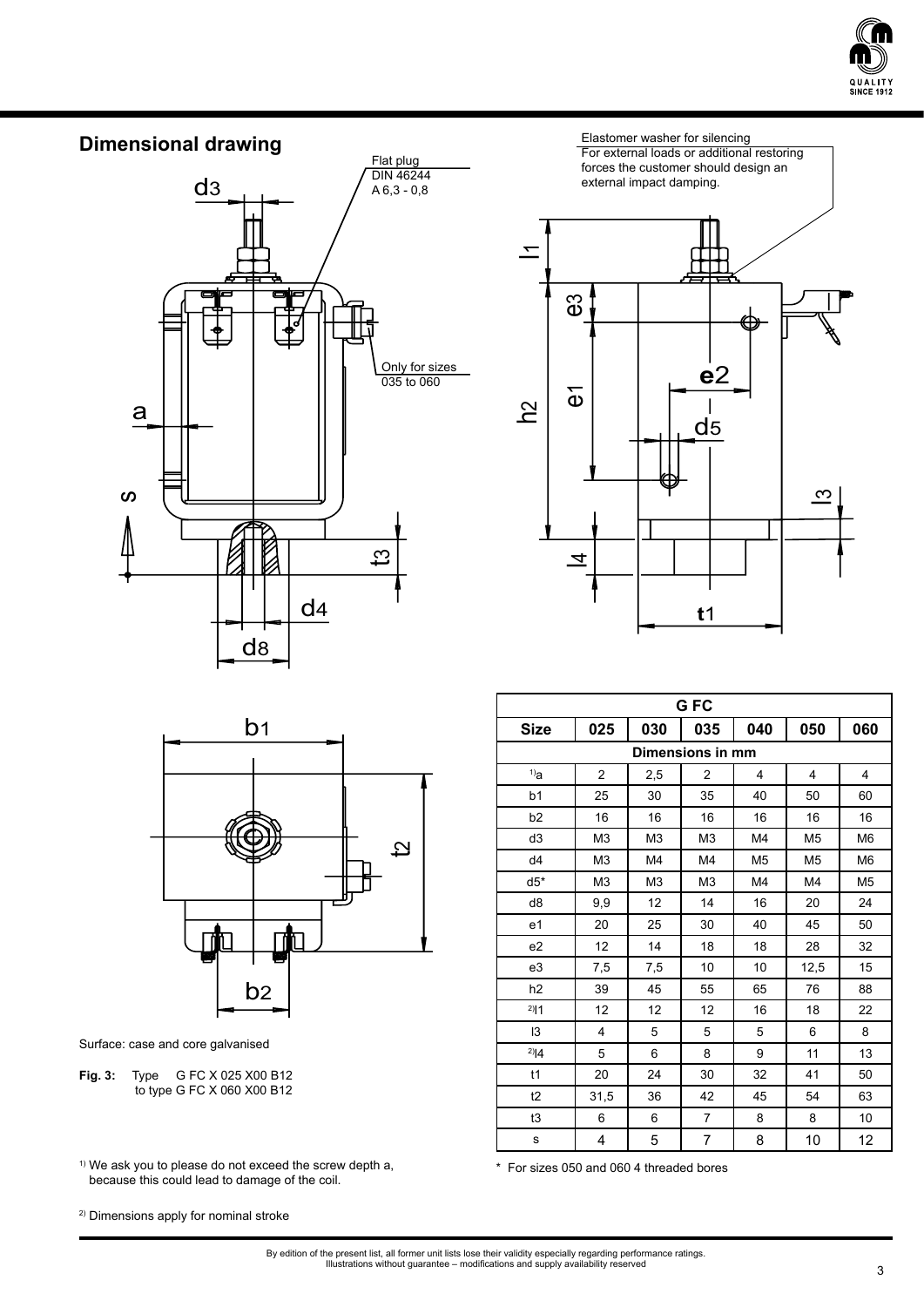



Elastomer washer for silencing For external loads or additional restoring forces the customer should design an external impact damping.  $\equiv$ ლ e1<br>e1 **e**2  $\overline{\mathbf{\hat{\omega}}}$  $\frac{1}{d}$ <u>පි</u>  $\overline{3}$  $\overline{4}$ **t**1



Surface: case and core galvanised

**Fig. 3:** Type G FC X 025 X00 B12 to type G FC X 060 X00 B12

<sup>1)</sup> We ask you to please do not exceed the screw depth a, **1)** We ask you to please do not exceed the screw depth a, because this could lead to damage of the coil.

| G <sub>FC</sub>  |                |                |                |                |                |                |  |
|------------------|----------------|----------------|----------------|----------------|----------------|----------------|--|
| <b>Size</b>      | 025            | 030            | 035            | 040            | 050            | 060            |  |
| Dimensions in mm |                |                |                |                |                |                |  |
| $1)$ a           | $\overline{c}$ | 2,5            | 2              | 4              | $\overline{4}$ | 4              |  |
| b <sub>1</sub>   | 25             | 30             | 35             | 40             | 50             | 60             |  |
| b2               | 16             | 16             | 16             | 16             | 16             | 16             |  |
| d3               | M <sub>3</sub> | M <sub>3</sub> | M <sub>3</sub> | M4             | M <sub>5</sub> | M <sub>6</sub> |  |
| d4               | M <sub>3</sub> | M4             | M4             | M <sub>5</sub> | M <sub>5</sub> | M <sub>6</sub> |  |
| $d5*$            | M <sub>3</sub> | M <sub>3</sub> | M <sub>3</sub> | M4             | M4             | M <sub>5</sub> |  |
| d8               | 9,9            | 12             | 14             | 16             | 20             | 24             |  |
| e1               | 20             | 25             | 30             | 40             | 45             | 50             |  |
| e2               | 12             | 14             | 18             | 18             | 28             | 32             |  |
| e3               | 7,5            | 7,5            | 10             | 10             | 12,5           | 15             |  |
| h <sub>2</sub>   | 39             | 45             | 55             | 65             | 76             | 88             |  |
| $^{2)}$  1       | 12             | 12             | 12             | 16             | 18             | 22             |  |
| 13               | $\overline{4}$ | 5              | 5              | 5              | 6              | 8              |  |
| $^{2)}$ $ 4$     | 5              | 6              | 8              | 9              | 11             | 13             |  |
| t1               | 20             | 24             | 30             | 32             | 41             | 50             |  |
| t2               | 31,5           | 36             | 42             | 45             | 54             | 63             |  |
| t3               | 6              | 6              | 7              | 8              | 8              | 10             |  |
| s                | 4              | 5              | 7              | 8              | 10             | 12             |  |

2) Dimensions apply for nominal stroke

By edition of the present list, all former unit lists lose their validity especially regarding performance ratings. Illustrations without guarantee – modifications and supply availability reserved